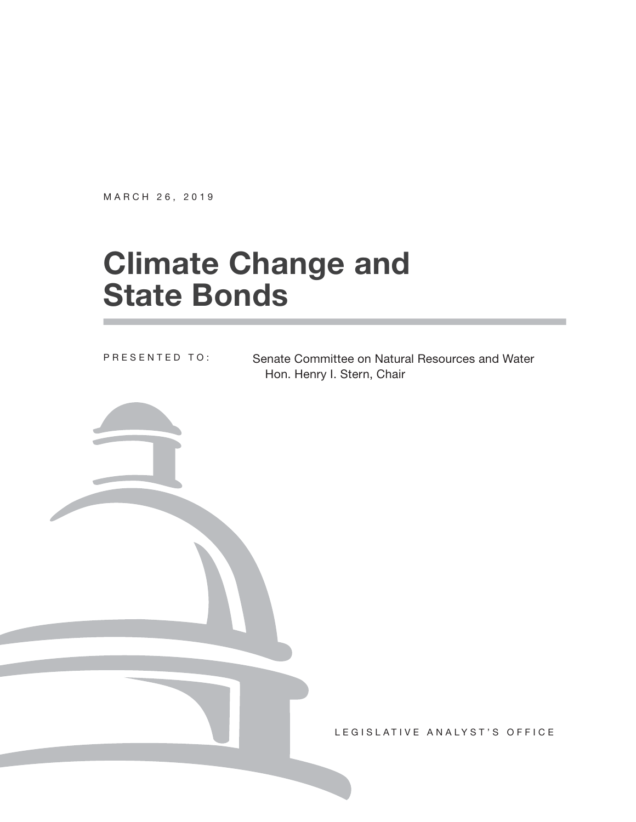MARCH 26, 2019

# **Climate Change and State Bonds**

PRESENTED TO:

Senate Committee on Natural Resources and Water Hon. Henry I. Stern, Chair

LEGISLATIVE ANALYST'S OFFICE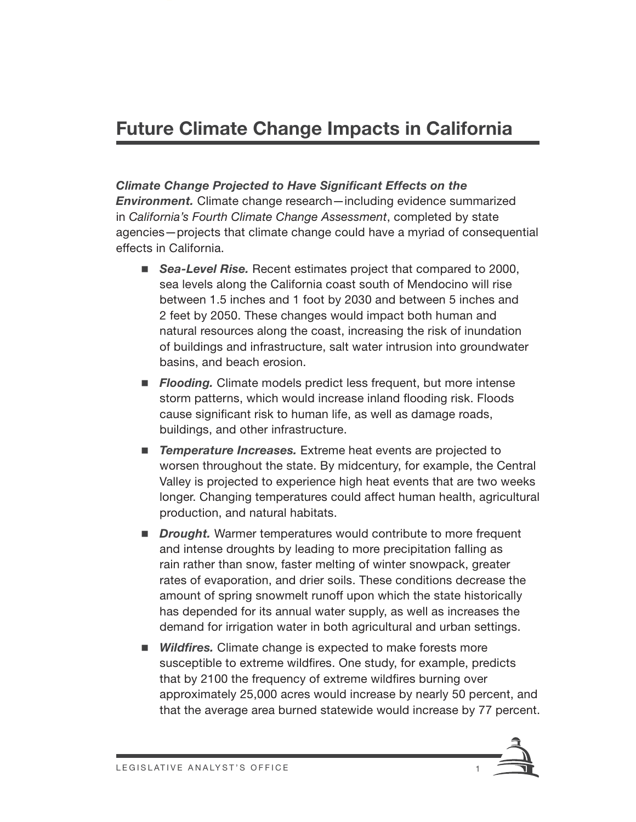### **Future Climate Change Impacts in California**

**Climate Change Projected to Have Significant Effects on the** *Environment.* Climate change research—including evidence summarized in *California's Fourth Climate Change Assessment*, completed by state agencies—projects that climate change could have a myriad of consequential effects in California.

- **Sea-Level Rise.** Recent estimates project that compared to 2000, sea levels along the California coast south of Mendocino will rise between 1.5 inches and 1 foot by 2030 and between 5 inches and 2 feet by 2050. These changes would impact both human and natural resources along the coast, increasing the risk of inundation of buildings and infrastructure, salt water intrusion into groundwater basins, and beach erosion.
- **Flooding.** Climate models predict less frequent, but more intense storm patterns, which would increase inland flooding risk. Floods cause significant risk to human life, as well as damage roads, buildings, and other infrastructure.
- **F** Temperature Increases. Extreme heat events are projected to worsen throughout the state. By midcentury, for example, the Central Valley is projected to experience high heat events that are two weeks longer. Changing temperatures could affect human health, agricultural production, and natural habitats.
- **Drought.** Warmer temperatures would contribute to more frequent and intense droughts by leading to more precipitation falling as rain rather than snow, faster melting of winter snowpack, greater rates of evaporation, and drier soils. These conditions decrease the amount of spring snowmelt runoff upon which the state historically has depended for its annual water supply, as well as increases the demand for irrigation water in both agricultural and urban settings.
- **Wildfires.** Climate change is expected to make forests more susceptible to extreme wildfires. One study, for example, predicts that by 2100 the frequency of extreme wildfires burning over approximately 25,000 acres would increase by nearly 50 percent, and that the average area burned statewide would increase by 77 percent.

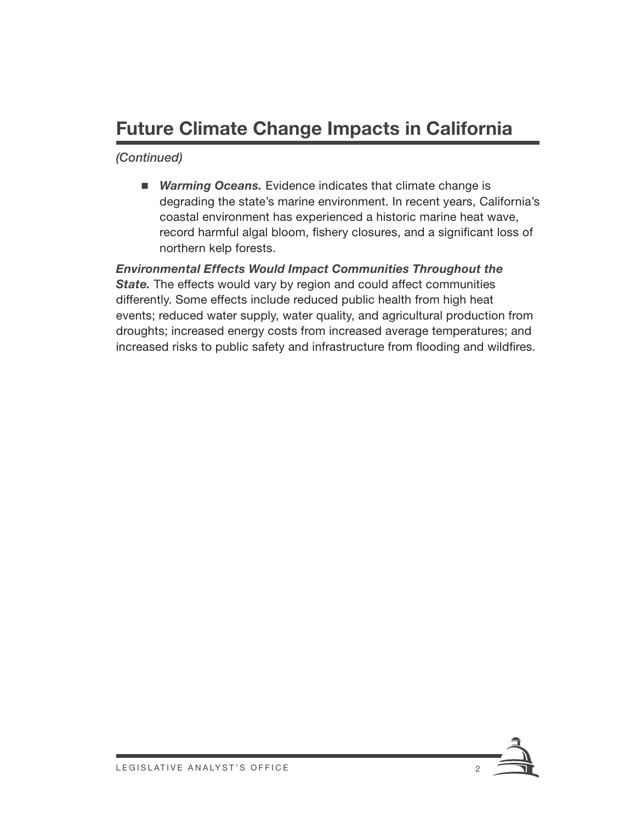### **Future Climate Change Impacts in California**

*(Continued)*

■ *Warming Oceans.* Evidence indicates that climate change is degrading the state's marine environment. In recent years, California's coastal environment has experienced a historic marine heat wave, record harmful algal bloom, fishery closures, and a significant loss of northern kelp forests.

*Environmental Effects Would Impact Communities Throughout the*  **State.** The effects would vary by region and could affect communities differently. Some effects include reduced public health from high heat events; reduced water supply, water quality, and agricultural production from droughts; increased energy costs from increased average temperatures; and increased risks to public safety and infrastructure from flooding and wildfires.

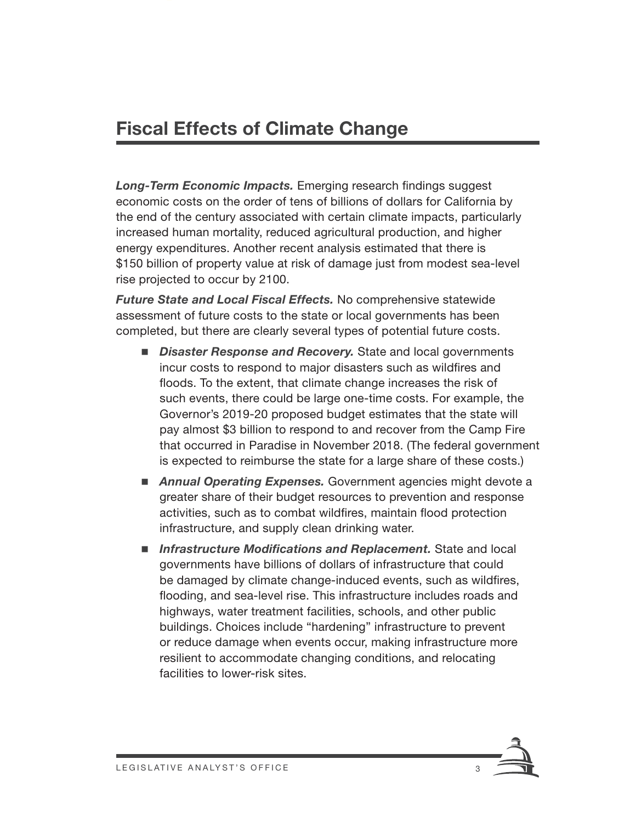### **Fiscal Effects of Climate Change**

**Long-Term Economic Impacts.** Emerging research findings suggest economic costs on the order of tens of billions of dollars for California by the end of the century associated with certain climate impacts, particularly increased human mortality, reduced agricultural production, and higher energy expenditures. Another recent analysis estimated that there is \$150 billion of property value at risk of damage just from modest sea-level rise projected to occur by 2100.

*Future State and Local Fiscal Effects.* No comprehensive statewide assessment of future costs to the state or local governments has been completed, but there are clearly several types of potential future costs.

- *Disaster Response and Recovery.* State and local governments incur costs to respond to major disasters such as wildfires and floods. To the extent, that climate change increases the risk of such events, there could be large one-time costs. For example, the Governor's 2019-20 proposed budget estimates that the state will pay almost \$3 billion to respond to and recover from the Camp Fire that occurred in Paradise in November 2018. (The federal government is expected to reimburse the state for a large share of these costs.)
- **Annual Operating Expenses.** Government agencies might devote a greater share of their budget resources to prevention and response activities, such as to combat wildfires, maintain flood protection infrastructure, and supply clean drinking water.
- **I** Infrastructure Modifications and Replacement. State and local governments have billions of dollars of infrastructure that could be damaged by climate change-induced events, such as wildfires, flooding, and sea-level rise. This infrastructure includes roads and highways, water treatment facilities, schools, and other public buildings. Choices include "hardening" infrastructure to prevent or reduce damage when events occur, making infrastructure more resilient to accommodate changing conditions, and relocating facilities to lower-risk sites.

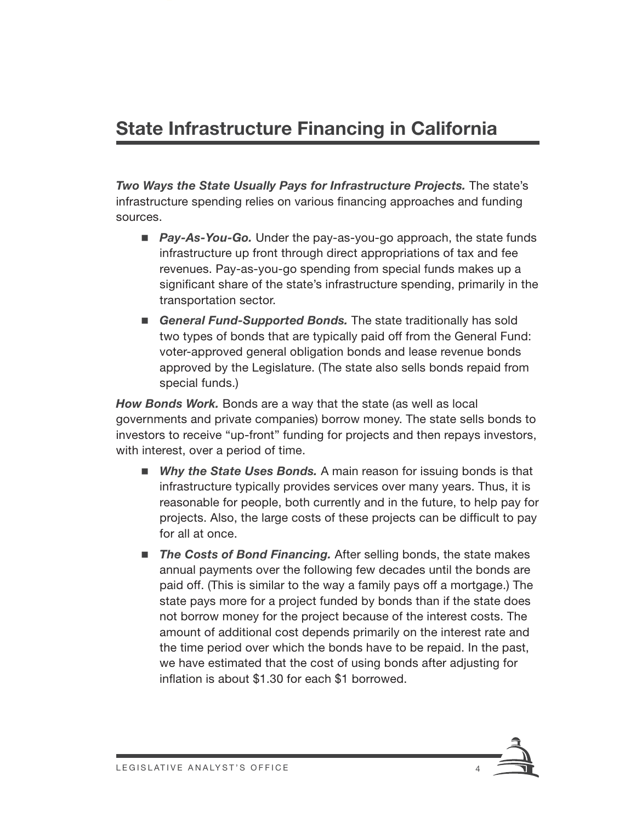### **State Infrastructure Financing in California**

*Two Ways the State Usually Pays for Infrastructure Projects.* The state's infrastructure spending relies on various financing approaches and funding sources.

- *Pay-As-You-Go.* Under the pay-as-you-go approach, the state funds infrastructure up front through direct appropriations of tax and fee revenues. Pay-as-you-go spending from special funds makes up a significant share of the state's infrastructure spending, primarily in the transportation sector.
- *General Fund-Supported Bonds.* The state traditionally has sold two types of bonds that are typically paid off from the General Fund: voter-approved general obligation bonds and lease revenue bonds approved by the Legislature. (The state also sells bonds repaid from special funds.)

*How Bonds Work.* Bonds are a way that the state (as well as local governments and private companies) borrow money. The state sells bonds to investors to receive "up-front" funding for projects and then repays investors, with interest, over a period of time.

- *Why the State Uses Bonds.* A main reason for issuing bonds is that infrastructure typically provides services over many years. Thus, it is reasonable for people, both currently and in the future, to help pay for projects. Also, the large costs of these projects can be difficult to pay for all at once.
- The Costs of Bond Financing. After selling bonds, the state makes annual payments over the following few decades until the bonds are paid off. (This is similar to the way a family pays off a mortgage.) The state pays more for a project funded by bonds than if the state does not borrow money for the project because of the interest costs. The amount of additional cost depends primarily on the interest rate and the time period over which the bonds have to be repaid. In the past, we have estimated that the cost of using bonds after adjusting for inflation is about \$1.30 for each \$1 borrowed.

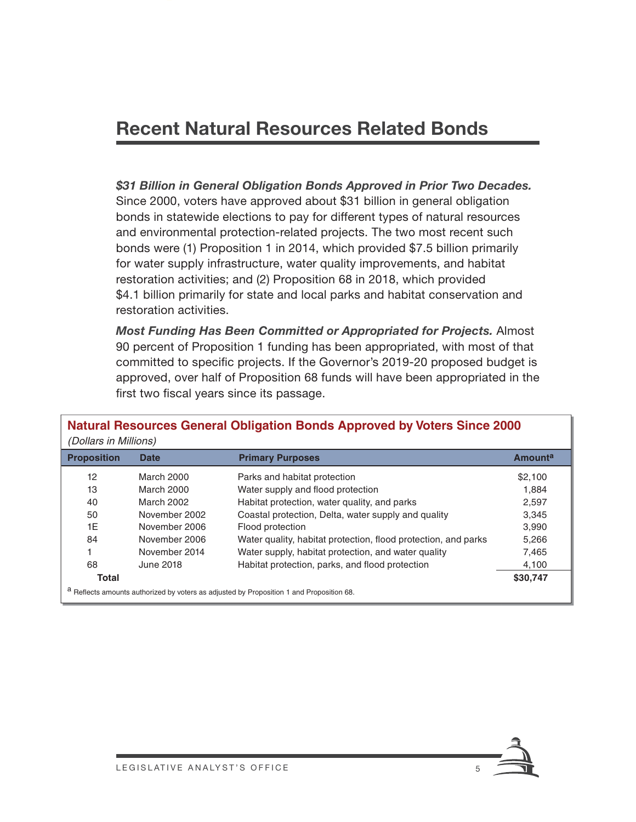### **Recent Natural Resources Related Bonds**

*\$31 Billion in General Obligation Bonds Approved in Prior Two Decades.*  Since 2000, voters have approved about \$31 billion in general obligation bonds in statewide elections to pay for different types of natural resources and environmental protection-related projects. The two most recent such bonds were (1) Proposition 1 in 2014, which provided \$7.5 billion primarily for water supply infrastructure, water quality improvements, and habitat restoration activities; and (2) Proposition 68 in 2018, which provided \$4.1 billion primarily for state and local parks and habitat conservation and restoration activities.

*Most Funding Has Been Committed or Appropriated for Projects.* Almost 90 percent of Proposition 1 funding has been appropriated, with most of that committed to specific projects. If the Governor's 2019-20 proposed budget is approved, over half of Proposition 68 funds will have been appropriated in the first two fiscal years since its passage.

| <b>Proposition</b> | <b>Date</b>   | <b>Primary Purposes</b>                                        | <b>Amounta</b> |
|--------------------|---------------|----------------------------------------------------------------|----------------|
| 12                 | March 2000    | Parks and habitat protection                                   | \$2.100        |
| 13                 | March 2000    | Water supply and flood protection                              | 1,884          |
| 40                 | March 2002    | Habitat protection, water quality, and parks                   | 2,597          |
| 50                 | November 2002 | Coastal protection, Delta, water supply and quality            | 3,345          |
| 1E                 | November 2006 | Flood protection                                               | 3,990          |
| 84                 | November 2006 | Water quality, habitat protection, flood protection, and parks | 5,266          |
|                    | November 2014 | Water supply, habitat protection, and water quality            | 7,465          |
| 68                 | June 2018     | Habitat protection, parks, and flood protection                | 4,100          |
| <b>Total</b>       |               |                                                                | \$30,747       |

## **Natural Resources General Obligation Bonds Approved by Voters Since 2000**

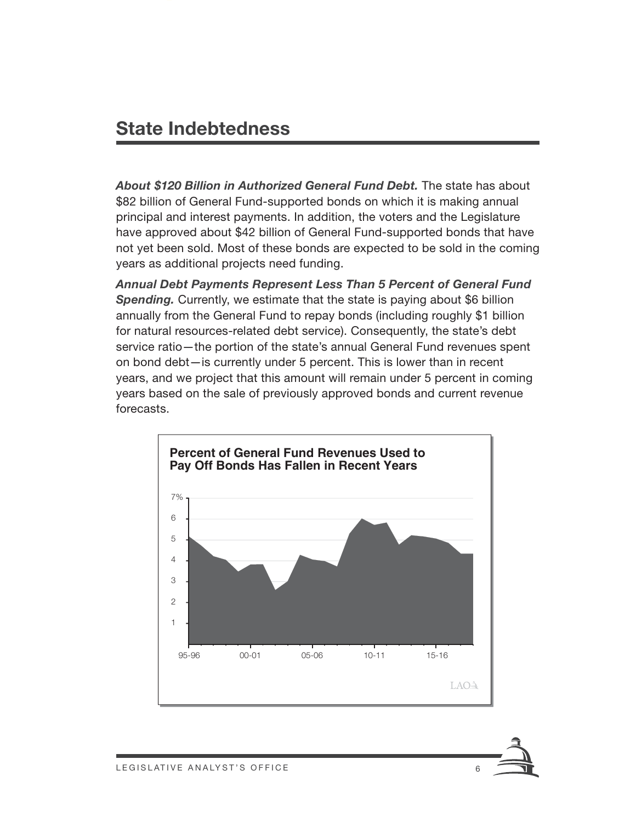### **State Indebtedness**

*About \$120 Billion in Authorized General Fund Debt.* The state has about \$82 billion of General Fund-supported bonds on which it is making annual principal and interest payments. In addition, the voters and the Legislature have approved about \$42 billion of General Fund-supported bonds that have not yet been sold. Most of these bonds are expected to be sold in the coming years as additional projects need funding.

*Annual Debt Payments Represent Less Than 5 Percent of General Fund Spending.* Currently, we estimate that the state is paying about \$6 billion annually from the General Fund to repay bonds (including roughly \$1 billion for natural resources-related debt service). Consequently, the state's debt service ratio—the portion of the state's annual General Fund revenues spent on bond debt—is currently under 5 percent. This is lower than in recent years, and we project that this amount will remain under 5 percent in coming years based on the sale of previously approved bonds and current revenue forecasts.



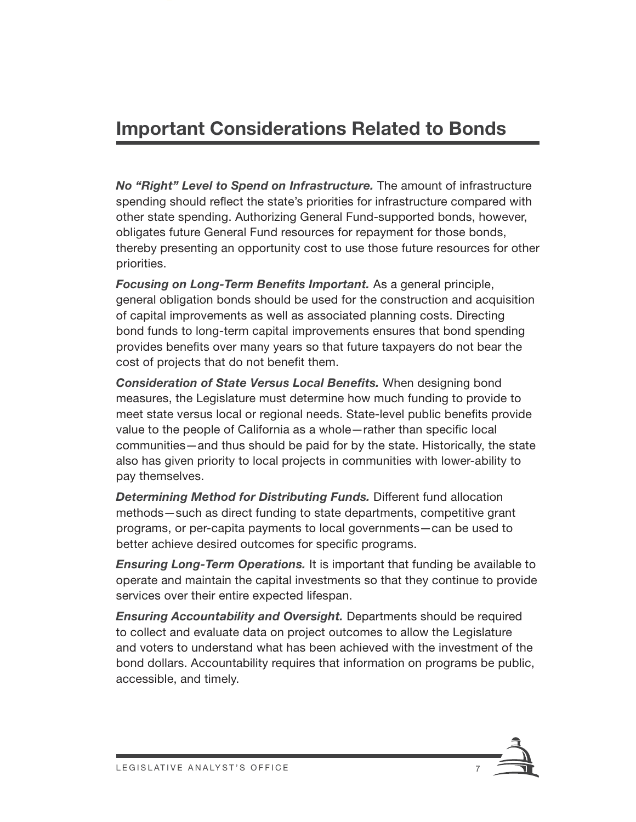### **Important Considerations Related to Bonds**

*No "Right" Level to Spend on Infrastructure.* The amount of infrastructure spending should reflect the state's priorities for infrastructure compared with other state spending. Authorizing General Fund-supported bonds, however, obligates future General Fund resources for repayment for those bonds, thereby presenting an opportunity cost to use those future resources for other priorities.

**Focusing on Long-Term Benefits Important.** As a general principle, general obligation bonds should be used for the construction and acquisition of capital improvements as well as associated planning costs. Directing bond funds to long-term capital improvements ensures that bond spending provides benefits over many years so that future taxpayers do not bear the cost of projects that do not benefit them.

**Consideration of State Versus Local Benefits.** When designing bond measures, the Legislature must determine how much funding to provide to meet state versus local or regional needs. State-level public benefits provide value to the people of California as a whole-rather than specific local communities—and thus should be paid for by the state. Historically, the state also has given priority to local projects in communities with lower-ability to pay themselves.

*Determining Method for Distributing Funds.* Different fund allocation methods—such as direct funding to state departments, competitive grant programs, or per-capita payments to local governments—can be used to better achieve desired outcomes for specific programs.

*Ensuring Long-Term Operations.* It is important that funding be available to operate and maintain the capital investments so that they continue to provide services over their entire expected lifespan.

*Ensuring Accountability and Oversight.* Departments should be required to collect and evaluate data on project outcomes to allow the Legislature and voters to understand what has been achieved with the investment of the bond dollars. Accountability requires that information on programs be public, accessible, and timely.

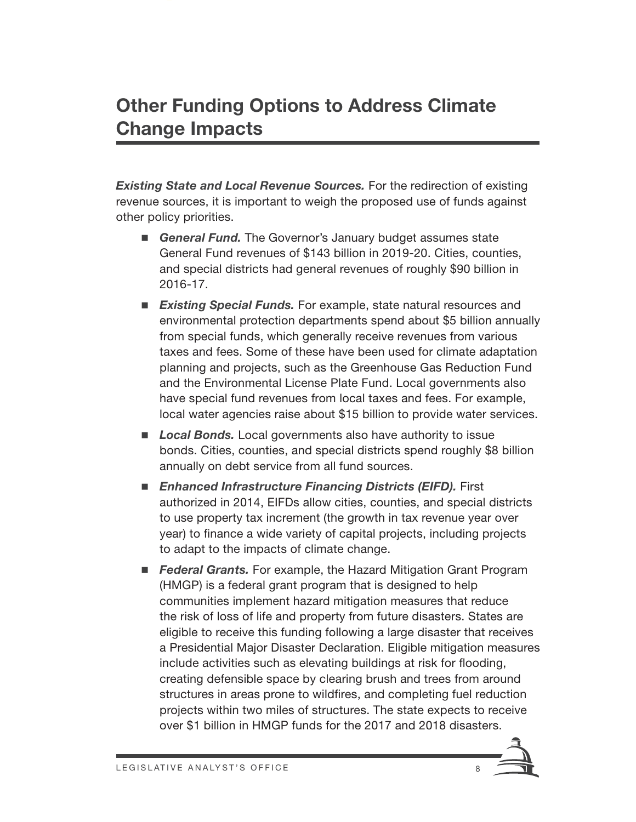### **Other Funding Options to Address Climate Change Impacts**

*Existing State and Local Revenue Sources.* For the redirection of existing revenue sources, it is important to weigh the proposed use of funds against other policy priorities.

- **General Fund.** The Governor's January budget assumes state General Fund revenues of \$143 billion in 2019-20. Cities, counties, and special districts had general revenues of roughly \$90 billion in 2016-17.
- *Existing Special Funds.* For example, state natural resources and environmental protection departments spend about \$5 billion annually from special funds, which generally receive revenues from various taxes and fees. Some of these have been used for climate adaptation planning and projects, such as the Greenhouse Gas Reduction Fund and the Environmental License Plate Fund. Local governments also have special fund revenues from local taxes and fees. For example, local water agencies raise about \$15 billion to provide water services.
- *Local Bonds.* Local governments also have authority to issue bonds. Cities, counties, and special districts spend roughly \$8 billion annually on debt service from all fund sources.
- *Enhanced Infrastructure Financing Districts (EIFD).* First authorized in 2014, EIFDs allow cities, counties, and special districts to use property tax increment (the growth in tax revenue year over year) to finance a wide variety of capital projects, including projects to adapt to the impacts of climate change.
- **Federal Grants.** For example, the Hazard Mitigation Grant Program (HMGP) is a federal grant program that is designed to help communities implement hazard mitigation measures that reduce the risk of loss of life and property from future disasters. States are eligible to receive this funding following a large disaster that receives a Presidential Major Disaster Declaration. Eligible mitigation measures include activities such as elevating buildings at risk for flooding, creating defensible space by clearing brush and trees from around structures in areas prone to wildfires, and completing fuel reduction projects within two miles of structures. The state expects to receive over \$1 billion in HMGP funds for the 2017 and 2018 disasters.